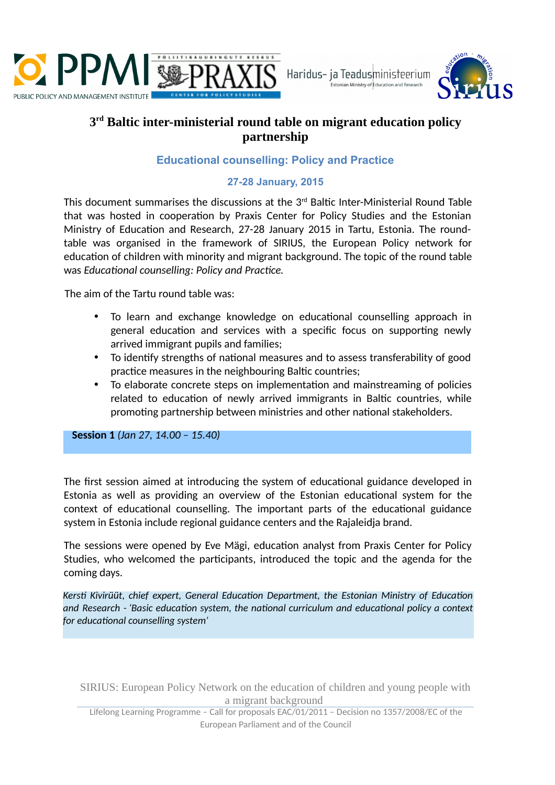



## **3 rd Baltic inter-ministerial round table on migrant education policy partnership**

## **Educational counselling: Policy and Practice**

## **27-28 January, 2015**

This document summarises the discussions at the 3<sup>rd</sup> Baltic Inter-Ministerial Round Table that was hosted in cooperation by Praxis Center for Policy Studies and the Estonian Ministry of Education and Research, 27-28 January 2015 in Tartu, Estonia. The roundtable was organised in the framework of SIRIUS, the European Policy network for education of children with minority and migrant background. The topic of the round table was *Educational counselling: Policy and Practice*.

The aim of the Tartu round table was:

- To learn and exchange knowledge on educational counselling approach in general education and services with a specific focus on supporting newly arrived immigrant pupils and families;
- To identify strengths of national measures and to assess transferability of good practice measures in the neighbouring Baltic countries;
- To elaborate concrete steps on implementation and mainstreaming of policies related to education of newly arrived immigrants in Baltic countries, while promoting partnership between ministries and other national stakeholders.

**Session 1** *(Jan 27, 14.00 – 15.40)*

The first session aimed at introducing the system of educational guidance developed in Estonia as well as providing an overview of the Estonian educational system for the context of educational counselling. The important parts of the educational guidance system in Estonia include regional guidance centers and the Rajaleidja brand.

The sessions were opened by Eve Mägi, education analyst from Praxis Center for Policy Studies, who welcomed the participants, introduced the topic and the agenda for the coming days.

*Kersti Kivirüüt, chief expert, General Education Department, the Estonian Ministry of Education and Research - 'Basic education system, the national curriculum and educational policy a context for educational counselling system'*

SIRIUS: European Policy Network on the education of children and young people with a migrant background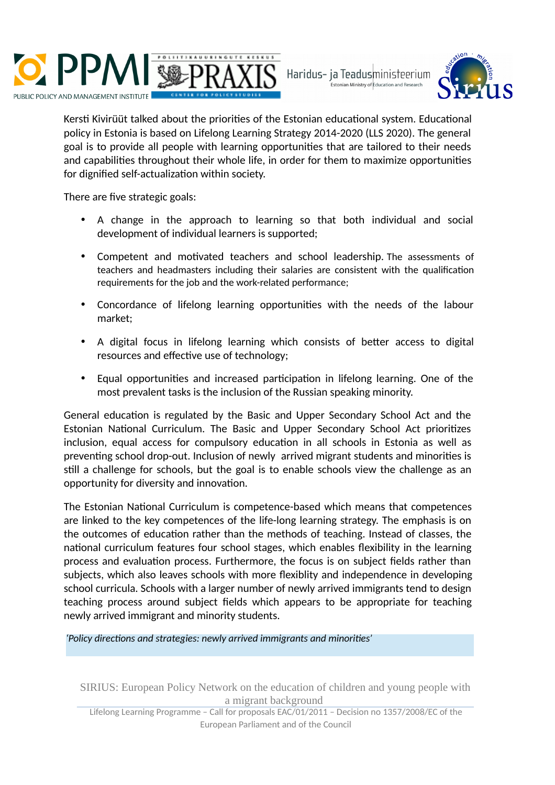



Kersti Kivirüüt talked about the priorities of the Estonian educational system. Educational policy in Estonia is based on Lifelong Learning Strategy 2014-2020 (LLS 2020). The general goal is to provide all people with learning opportunities that are tailored to their needs and capabilities throughout their whole life, in order for them to maximize opportunities for dignified self-actualization within society.

There are five strategic goals:

- A change in the approach to learning so that both individual and social development of individual learners is supported;
- Competent and motivated teachers and school leadership. The assessments of teachers and headmasters including their salaries are consistent with the qualification requirements for the job and the work-related performance;
- Concordance of lifelong learning opportunities with the needs of the labour market;
- A digital focus in lifelong learning which consists of better access to digital resources and effective use of technology;
- Equal opportunities and increased participation in lifelong learning. One of the most prevalent tasks is the inclusion of the Russian speaking minority.

General education is regulated by the Basic and Upper Secondary School Act and the Estonian National Curriculum. The Basic and Upper Secondary School Act prioritizes inclusion, equal access for compulsory education in all schools in Estonia as well as preventing school drop-out. Inclusion of newly arrived migrant students and minorities is still a challenge for schools, but the goal is to enable schools view the challenge as an opportunity for diversity and innovation.

The Estonian National Curriculum is competence-based which means that competences are linked to the key competences of the life-long learning strategy. The emphasis is on the outcomes of education rather than the methods of teaching. Instead of classes, the national curriculum features four school stages, which enables flexibility in the learning process and evaluation process. Furthermore, the focus is on subject fields rather than subjects, which also leaves schools with more flexiblity and independence in developing school curricula. Schools with a larger number of newly arrived immigrants tend to design teaching process around subject fields which appears to be appropriate for teaching newly arrived immigrant and minority students.

*'Policy directions and strategies: newly arrived immigrants and minorities'*

SIRIUS: European Policy Network on the education of children and young people with a migrant background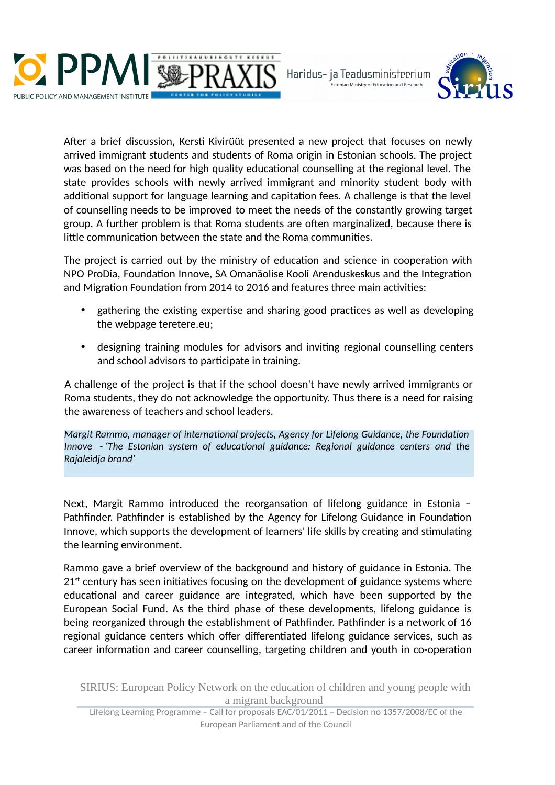



After a brief discussion, Kersti Kivirüüt presented a new project that focuses on newly arrived immigrant students and students of Roma origin in Estonian schools. The project was based on the need for high quality educational counselling at the regional level. The state provides schools with newly arrived immigrant and minority student body with additional support for language learning and capitation fees. A challenge is that the level of counselling needs to be improved to meet the needs of the constantly growing target group. A further problem is that Roma students are often marginalized, because there is little communication between the state and the Roma communities.

The project is carried out by the ministry of education and science in cooperation with NPO ProDia, Foundation Innove, SA Omanäolise Kooli Arenduskeskus and the Integration and Migration Foundation from 2014 to 2016 and features three main activities:

- gathering the existing expertise and sharing good practices as well as developing the webpage teretere.eu;
- designing training modules for advisors and inviting regional counselling centers and school advisors to participate in training.

A challenge of the project is that if the school doesn't have newly arrived immigrants or Roma students, they do not acknowledge the opportunity. Thus there is a need for raising the awareness of teachers and school leaders.

*Margit Rammo, manager of international projects, Agency for Lifelong Guidance, the Foundation Innove - 'The Estonian system of educational guidance: Regional guidance centers and the Rajaleidja brand'*

Next, Margit Rammo introduced the reorgansation of lifelong guidance in Estonia – Pathfinder. Pathfinder is established by the Agency for Lifelong Guidance in Foundation Innove, which supports the development of learners' life skills by creating and stimulating the learning environment.

Rammo gave a brief overview of the background and history of guidance in Estonia. The  $21<sup>st</sup>$  century has seen initiatives focusing on the development of guidance systems where educational and career guidance are integrated, which have been supported by the European Social Fund. As the third phase of these developments, lifelong guidance is being reorganized through the establishment of Pathfinder. Pathfinder is a network of 16 regional guidance centers which offer differentiated lifelong guidance services, such as career information and career counselling, targeting children and youth in co-operation

SIRIUS: European Policy Network on the education of children and young people with a migrant background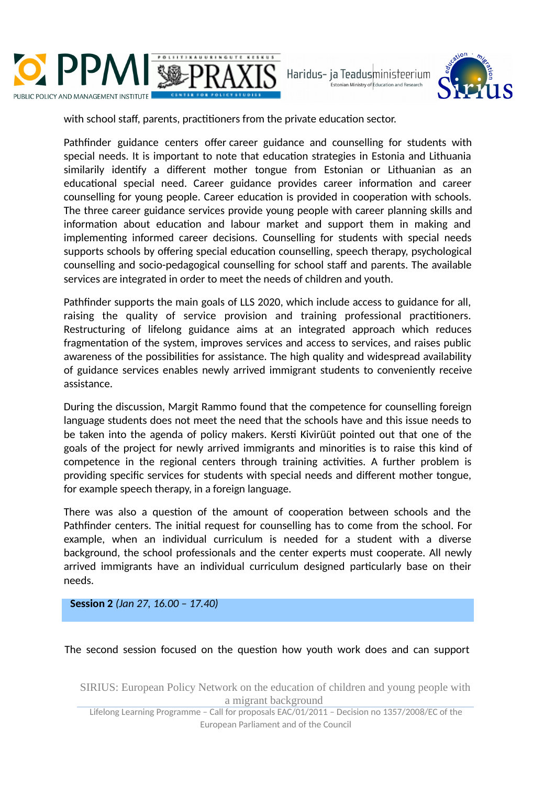



with school staff, parents, practitioners from the private education sector.

Pathfinder guidance centers offer career guidance and counselling for students with special needs. It is important to note that education strategies in Estonia and Lithuania similarily identify a different mother tongue from Estonian or Lithuanian as an educational special need. Career guidance provides career information and career counselling for young people. Career education is provided in cooperation with schools. The three career guidance services provide young people with career planning skills and information about education and labour market and support them in making and implementing informed career decisions. Counselling for students with special needs supports schools by offering special education counselling, speech therapy, psychological counselling and socio-pedagogical counselling for school staff and parents. The available services are integrated in order to meet the needs of children and youth.

Pathfinder supports the main goals of LLS 2020, which include access to guidance for all, raising the quality of service provision and training professional practitioners. Restructuring of lifelong guidance aims at an integrated approach which reduces fragmentation of the system, improves services and access to services, and raises public awareness of the possibilities for assistance. The high quality and widespread availability of guidance services enables newly arrived immigrant students to conveniently receive assistance.

During the discussion, Margit Rammo found that the competence for counselling foreign language students does not meet the need that the schools have and this issue needs to be taken into the agenda of policy makers. Kersti Kivirüüt pointed out that one of the goals of the project for newly arrived immigrants and minorities is to raise this kind of competence in the regional centers through training activities. A further problem is providing specific services for students with special needs and different mother tongue, for example speech therapy, in a foreign language.

There was also a question of the amount of cooperation between schools and the Pathfinder centers. The initial request for counselling has to come from the school. For example, when an individual curriculum is needed for a student with a diverse background, the school professionals and the center experts must cooperate. All newly arrived immigrants have an individual curriculum designed particularly base on their needs.

**Session 2** *(Jan 27, 16.00 – 17.40)*

The second session focused on the question how youth work does and can support

SIRIUS: European Policy Network on the education of children and young people with a migrant background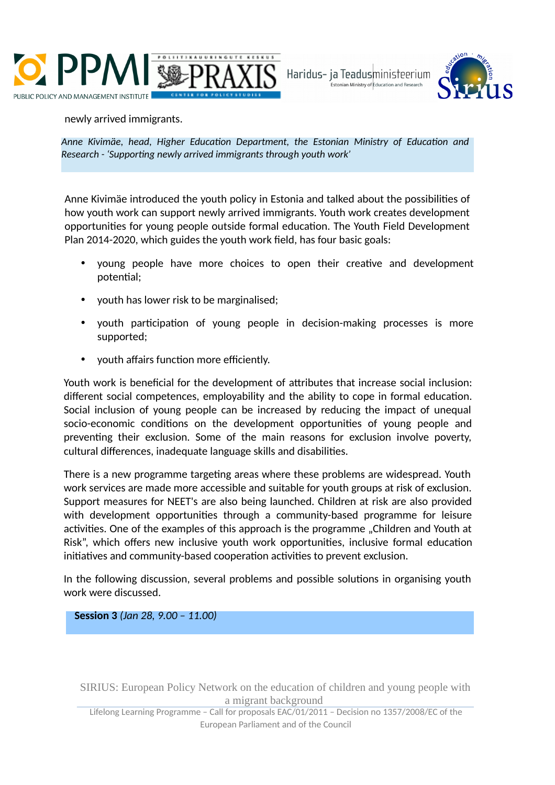



newly arrived immigrants.

*Anne Kivimäe, head, Higher Education Department, the Estonian Ministry of Education and Research - 'Supporting newly arrived immigrants through youth work'*

Anne Kivimäe introduced the youth policy in Estonia and talked about the possibilities of how youth work can support newly arrived immigrants. Youth work creates development opportunities for young people outside formal education. The Youth Field Development Plan 2014-2020, which guides the youth work field, has four basic goals:

- young people have more choices to open their creative and development potential;
- youth has lower risk to be marginalised;
- vouth participation of young people in decision-making processes is more supported;
- youth affairs function more efficiently.

Youth work is beneficial for the development of attributes that increase social inclusion: different social competences, employability and the ability to cope in formal education. Social inclusion of young people can be increased by reducing the impact of unequal socio-economic conditions on the development opportunities of young people and preventing their exclusion. Some of the main reasons for exclusion involve poverty, cultural differences, inadequate language skills and disabilities.

There is a new programme targeting areas where these problems are widespread. Youth work services are made more accessible and suitable for youth groups at risk of exclusion. Support measures for NEET's are also being launched. Children at risk are also provided with development opportunities through a community-based programme for leisure activities. One of the examples of this approach is the programme "Children and Youth at Risk", which offers new inclusive youth work opportunities, inclusive formal education initiatives and community-based cooperation activities to prevent exclusion.

In the following discussion, several problems and possible solutions in organising youth work were discussed.

**Session 3** *(Jan 28, 9.00 – 11.00)*

SIRIUS: European Policy Network on the education of children and young people with a migrant background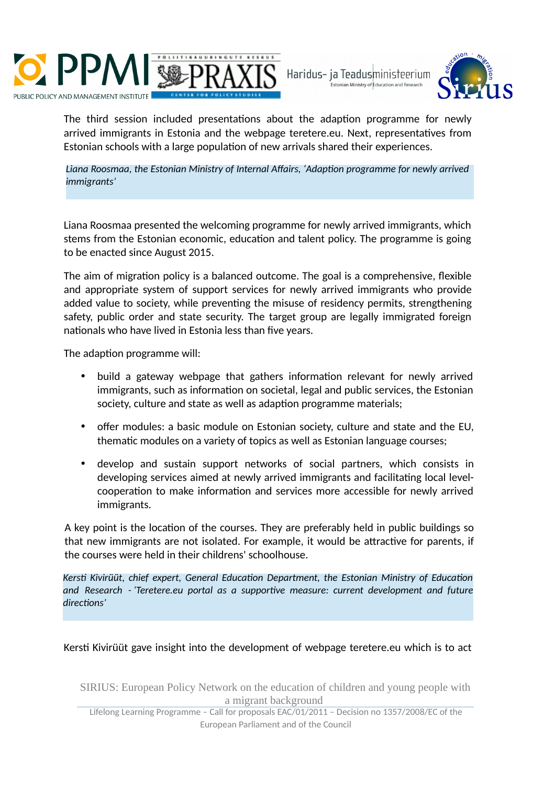



The third session included presentations about the adaption programme for newly arrived immigrants in Estonia and the webpage teretere.eu. Next, representatives from Estonian schools with a large population of new arrivals shared their experiences.

*Liana Roosmaa, the Estonian Ministry of Internal Affairs, 'Adaption programme for newly arrived immigrants'*

Liana Roosmaa presented the welcoming programme for newly arrived immigrants, which stems from the Estonian economic, education and talent policy. The programme is going to be enacted since August 2015.

The aim of migration policy is a balanced outcome. The goal is a comprehensive, flexible and appropriate system of support services for newly arrived immigrants who provide added value to society, while preventing the misuse of residency permits, strengthening safety, public order and state security. The target group are legally immigrated foreign nationals who have lived in Estonia less than five years.

The adaption programme will:

- build a gateway webpage that gathers information relevant for newly arrived immigrants, such as information on societal, legal and public services, the Estonian society, culture and state as well as adaption programme materials;
- offer modules: a basic module on Estonian society, culture and state and the EU, thematic modules on a variety of topics as well as Estonian language courses;
- develop and sustain support networks of social partners, which consists in developing services aimed at newly arrived immigrants and facilitating local levelcooperation to make information and services more accessible for newly arrived immigrants.

A key point is the location of the courses. They are preferably held in public buildings so that new immigrants are not isolated. For example, it would be attractive for parents, if the courses were held in their childrens' schoolhouse.

*Kersti Kivirüüt, chief expert, General Education Department, the Estonian Ministry of Education and Research - 'Teretere.eu portal as a supportive measure: current development and future directions'*

Kersti Kivirüüt gave insight into the development of webpage teretere.eu which is to act

SIRIUS: European Policy Network on the education of children and young people with a migrant background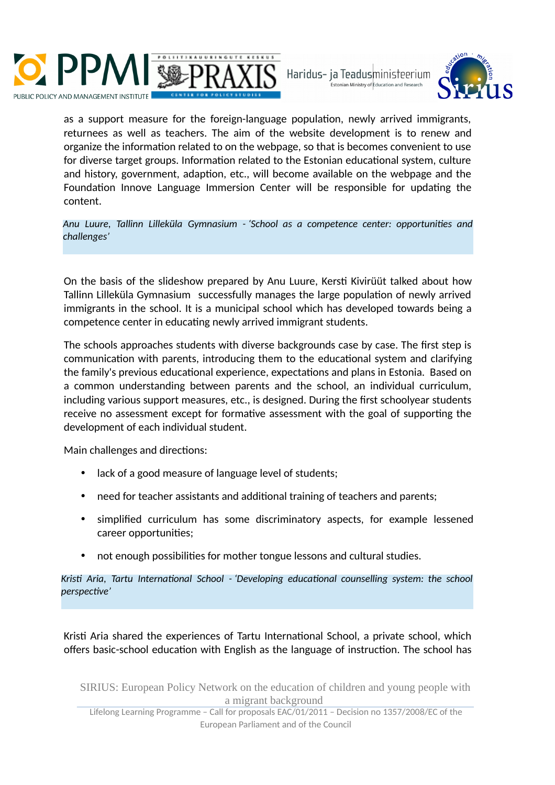



as a support measure for the foreign-language population, newly arrived immigrants, returnees as well as teachers. The aim of the website development is to renew and organize the information related to on the webpage, so that is becomes convenient to use for diverse target groups. Information related to the Estonian educational system, culture and history, government, adaption, etc., will become available on the webpage and the Foundation Innove Language Immersion Center will be responsible for updating the content.

*Anu Luure, Tallinn Lilleküla Gymnasium - 'School as a competence center: opportunities and challenges'*

On the basis of the slideshow prepared by Anu Luure, Kersti Kivirüüt talked about how Tallinn Lilleküla Gymnasium successfully manages the large population of newly arrived immigrants in the school. It is a municipal school which has developed towards being a competence center in educating newly arrived immigrant students.

The schools approaches students with diverse backgrounds case by case. The first step is communication with parents, introducing them to the educational system and clarifying the family's previous educational experience, expectations and plans in Estonia. Based on a common understanding between parents and the school, an individual curriculum, including various support measures, etc., is designed. During the first schoolyear students receive no assessment except for formative assessment with the goal of supporting the development of each individual student.

Main challenges and directions:

- lack of a good measure of language level of students;
- need for teacher assistants and additional training of teachers and parents;
- simplified curriculum has some discriminatory aspects, for example lessened career opportunities;
- not enough possibilities for mother tongue lessons and cultural studies.

*Kristi Aria, Tartu International School - 'Developing educational counselling system: the school perspective'*

Kristi Aria shared the experiences of Tartu International School, a private school, which offers basic-school education with English as the language of instruction. The school has

SIRIUS: European Policy Network on the education of children and young people with a migrant background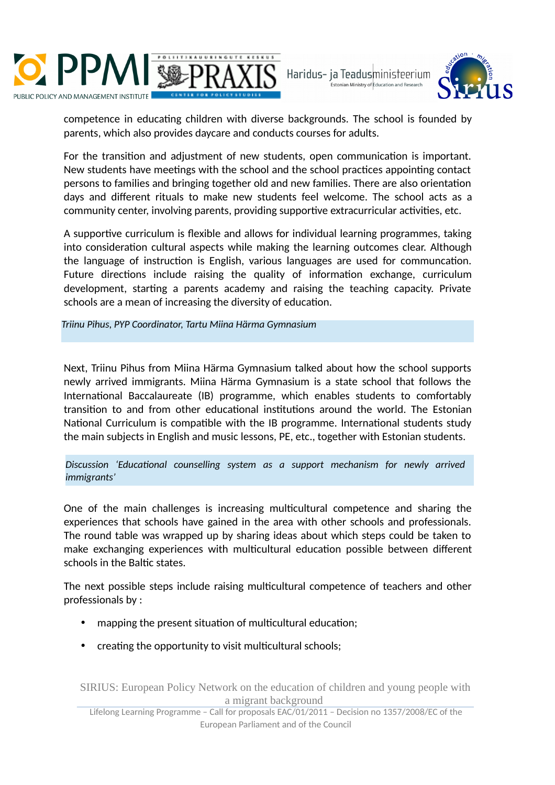



competence in educating children with diverse backgrounds. The school is founded by parents, which also provides daycare and conducts courses for adults.

For the transition and adjustment of new students, open communication is important. New students have meetings with the school and the school practices appointing contact persons to families and bringing together old and new families. There are also orientation days and different rituals to make new students feel welcome. The school acts as a community center, involving parents, providing supportive extracurricular activities, etc.

A supportive curriculum is flexible and allows for individual learning programmes, taking into consideration cultural aspects while making the learning outcomes clear. Although the language of instruction is English, various languages are used for communcation. Future directions include raising the quality of information exchange, curriculum development, starting a parents academy and raising the teaching capacity. Private schools are a mean of increasing the diversity of education.

*Triinu Pihus, PYP Coordinator, Tartu Miina Härma Gymnasium*

Next, Triinu Pihus from Miina Härma Gymnasium talked about how the school supports newly arrived immigrants. Miina Härma Gymnasium is a state school that follows the International Baccalaureate (IB) programme, which enables students to comfortably transition to and from other educational institutions around the world. The Estonian National Curriculum is compatible with the IB programme. International students study the main subjects in English and music lessons, PE, etc., together with Estonian students.

*Discussion 'Educational counselling system as a support mechanism for newly arrived immigrants'*

One of the main challenges is increasing multicultural competence and sharing the experiences that schools have gained in the area with other schools and professionals. The round table was wrapped up by sharing ideas about which steps could be taken to make exchanging experiences with multicultural education possible between different schools in the Baltic states.

The next possible steps include raising multicultural competence of teachers and other professionals by :

- mapping the present situation of multicultural education;
- creating the opportunity to visit multicultural schools;

SIRIUS: European Policy Network on the education of children and young people with a migrant background